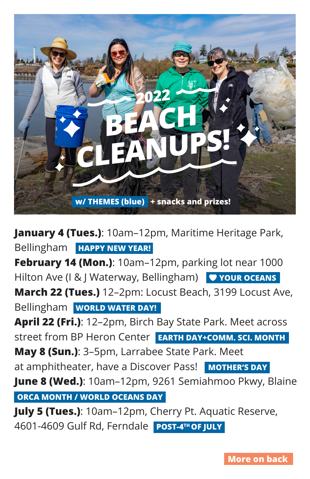

**January 4 (Tues.)**: 10am–12pm, Maritime Heritage Park, Bellingham **HAPPY NEW YEAR!**

**February 14 (Mon.)**: 10am–12pm, parking lot near 1000 Hilton Ave (I & J Waterway, Bellingham) **V YOUR OCEANS March 22 (Tues.)** 12–2pm: Locust Beach, 3199 Locust Ave, Bellingham **WORLD WATER DAY!**

**April 22 (Fri.)**: 12–2pm, Birch Bay State Park. Meet across street from BP Heron Center **EARTH DAY+COMM. SCI. MONTH May 8 (Sun.)**: 3–5pm, Larrabee State Park. Meet

at amphitheater, have a Discover Pass! MOTHER'S DAY

**June 8 (Wed.)**: 10am–12pm, 9261 Semiahmoo Pkwy, Blaine **ORCA MONTH / WORLD OCEANS DAY**

**July 5 (Tues.)**: 10am–12pm, Cherry Pt. Aquatic Reserve, 4601-4609 Gulf Rd, Ferndale **POST-4TH OF JULY**